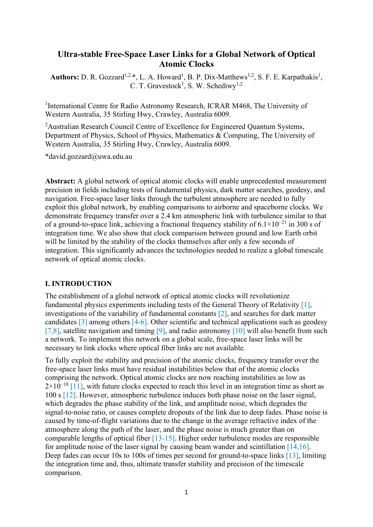# **Ultra-stable Free-Space Laser Links for a Global Network of Optical Atomic Clocks**

**Authors:** D. R. Gozzard<sup>1,2,\*</sup>, L. A. Howard<sup>1</sup>, B. P. Dix-Matthews<sup>1,2</sup>, S. F. E. Karpathakis<sup>1</sup>, C. T. Gravestock<sup>1</sup>, S. W. Schediwy<sup>1,2</sup>

<sup>1</sup>International Centre for Radio Astronomy Research, ICRAR M468, The University of Western Australia, 35 Stirling Hwy, Crawley, Australia 6009.

<sup>2</sup>Australian Research Council Centre of Excellence for Engineered Quantum Systems, Department of Physics, School of Physics, Mathematics & Computing, The University of Western Australia, 35 Stirling Hwy, Crawley, Australia 6009.

\*david.gozzard@uwa.edu.au

**Abstract:** A global network of optical atomic clocks will enable unprecedented measurement precision in fields including tests of fundamental physics, dark matter searches, geodesy, and navigation. Free-space laser links through the turbulent atmosphere are needed to fully exploit this global network, by enabling comparisons to airborne and spaceborne clocks. We demonstrate frequency transfer over a 2.4 km atmospheric link with turbulence similar to that of a ground-to-space link, achieving a fractional frequency stability of  $6.1 \times 10^{-21}$  in 300 s of integration time. We also show that clock comparison between ground and low Earth orbit will be limited by the stability of the clocks themselves after only a few seconds of integration. This significantly advances the technologies needed to realize a global timescale network of optical atomic clocks.

### **I. INTRODUCTION**

The establishment of a global network of optical atomic clocks will revolutionize fundamental physics experiments including tests of the General Theory of Relativity [1], investigations of the variability of fundamental constants [2], and searches for dark matter candidates [3] among others [4-6]. Other scientific and technical applications such as geodesy [7,8], satellite navigation and timing [9], and radio astronomy [10] will also benefit from such a network. To implement this network on a global scale, free-space laser links will be necessary to link clocks where optical fiber links are not available.

To fully exploit the stability and precision of the atomic clocks, frequency transfer over the free-space laser links must have residual instabilities below that of the atomic clocks comprising the network. Optical atomic clocks are now reaching instabilities as low as  $2\times10^{-18}$  [11], with future clocks expected to reach this level in an integration time as short as 100 s [12]. However, atmospheric turbulence induces both phase noise on the laser signal, which degrades the phase stability of the link, and amplitude noise, which degrades the signal-to-noise ratio, or causes complete dropouts of the link due to deep fades. Phase noise is caused by time-of-flight variations due to the change in the average refractive index of the atmosphere along the path of the laser, and the phase noise is much greater than on comparable lengths of optical fiber [13-15]. Higher order turbulence modes are responsible for amplitude noise of the laser signal by causing beam wander and scintillation  $[14,16]$ . Deep fades can occur 10s to 100s of times per second for ground-to-space links [13], limiting the integration time and, thus, ultimate transfer stability and precision of the timescale comparison.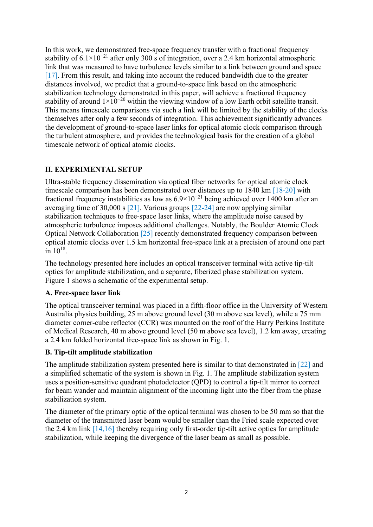In this work, we demonstrated free-space frequency transfer with a fractional frequency stability of  $6.1 \times 10^{-21}$  after only 300 s of integration, over a 2.4 km horizontal atmospheric link that was measured to have turbulence levels similar to a link between ground and space [17]. From this result, and taking into account the reduced bandwidth due to the greater distances involved, we predict that a ground-to-space link based on the atmospheric stabilization technology demonstrated in this paper, will achieve a fractional frequency stability of around  $1\times10^{-20}$  within the viewing window of a low Earth orbit satellite transit. This means timescale comparisons via such a link will be limited by the stability of the clocks themselves after only a few seconds of integration. This achievement significantly advances the development of ground-to-space laser links for optical atomic clock comparison through the turbulent atmosphere, and provides the technological basis for the creation of a global timescale network of optical atomic clocks.

## **II. EXPERIMENTAL SETUP**

Ultra-stable frequency dissemination via optical fiber networks for optical atomic clock timescale comparison has been demonstrated over distances up to 1840 km [18-20] with fractional frequency instabilities as low as  $6.9\times10^{-21}$  being achieved over 1400 km after an averaging time of 30,000 s [21]. Various groups [22-24] are now applying similar stabilization techniques to free-space laser links, where the amplitude noise caused by atmospheric turbulence imposes additional challenges. Notably, the Boulder Atomic Clock Optical Network Collaboration [25] recently demonstrated frequency comparison between optical atomic clocks over 1.5 km horizontal free-space link at a precision of around one part in  $10^{18}$ .

The technology presented here includes an optical transceiver terminal with active tip-tilt optics for amplitude stabilization, and a separate, fiberized phase stabilization system. Figure 1 shows a schematic of the experimental setup.

### **A. Free-space laser link**

The optical transceiver terminal was placed in a fifth-floor office in the University of Western Australia physics building, 25 m above ground level (30 m above sea level), while a 75 mm diameter corner-cube reflector (CCR) was mounted on the roof of the Harry Perkins Institute of Medical Research, 40 m above ground level (50 m above sea level), 1.2 km away, creating a 2.4 km folded horizontal free-space link as shown in Fig. 1.

## **B. Tip-tilt amplitude stabilization**

The amplitude stabilization system presented here is similar to that demonstrated in [22] and a simplified schematic of the system is shown in Fig. 1. The amplitude stabilization system uses a position-sensitive quadrant photodetector (QPD) to control a tip-tilt mirror to correct for beam wander and maintain alignment of the incoming light into the fiber from the phase stabilization system.

The diameter of the primary optic of the optical terminal was chosen to be 50 mm so that the diameter of the transmitted laser beam would be smaller than the Fried scale expected over the 2.4 km link [14,16] thereby requiring only first-order tip-tilt active optics for amplitude stabilization, while keeping the divergence of the laser beam as small as possible.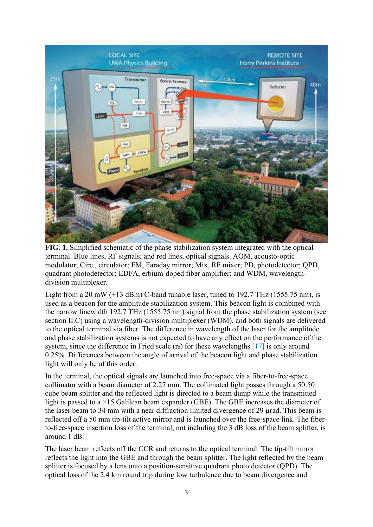

**FIG. 1.** Simplified schematic of the phase stabilization system integrated with the optical terminal. Blue lines, RF signals; and red lines, optical signals. AOM, acousto-optic modulator; Circ., circulator; FM, Faraday mirror; Mix, RF mixer; PD, photodetector; QPD, quadrant photodetector; EDFA, erbium-doped fiber amplifier; and WDM, wavelengthdivision multiplexer.

Light from a 20 mW  $(+13$  dBm) C-band tunable laser, tuned to 192.7 THz (1555.75 nm), is used as a beacon for the amplitude stabilization system. This beacon light is combined with the narrow linewidth 192.7 THz (1555.75 nm) signal from the phase stabilization system (see section II.C) using a wavelength-division multiplexer (WDM), and both signals are delivered to the optical terminal via fiber. The difference in wavelength of the laser for the amplitude and phase stabilization systems is not expected to have any effect on the performance of the system, since the difference in Fried scale  $(r_0)$  for these wavelengths [17] is only around 0.25%. Differences between the angle of arrival of the beacon light and phase stabilization light will only be of this order.

In the terminal, the optical signals are launched into free-space via a fiber-to-free-space collimator with a beam diameter of 2.27 mm. The collimated light passes through a 50:50 cube beam splitter and the reflected light is directed to a beam dump while the transmitted light is passed to a ×15 Galilean beam expander (GBE). The GBE increases the diameter of the laser beam to 34 mm with a near diffraction limited divergence of 29 urad. This beam is reflected off a 50 mm tip-tilt active mirror and is launched over the free-space link. The fiberto-free-space insertion loss of the terminal, not including the 3 dB loss of the beam splitter, is around 1 dB.

The laser beam reflects off the CCR and returns to the optical terminal. The tip-tilt mirror reflects the light into the GBE and through the beam splitter. The light reflected by the beam splitter is focused by a lens onto a position-sensitive quadrant photo detector (QPD). The optical loss of the 2.4 km round trip during low turbulence due to beam divergence and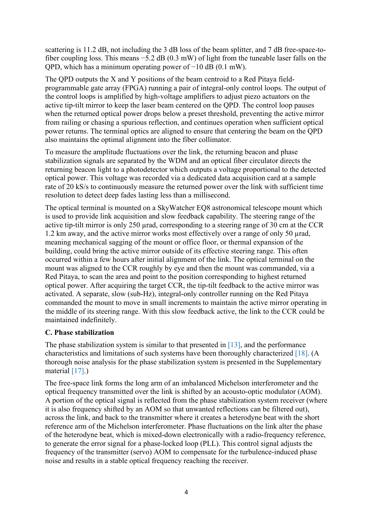scattering is 11.2 dB, not including the 3 dB loss of the beam splitter, and 7 dB free-space-tofiber coupling loss. This means −5.2 dB (0.3 mW) of light from the tuneable laser falls on the QPD, which has a minimum operating power of −10 dB (0.1 mW).

The QPD outputs the X and Y positions of the beam centroid to a Red Pitaya fieldprogrammable gate array (FPGA) running a pair of integral-only control loops. The output of the control loops is amplified by high-voltage amplifiers to adjust piezo actuators on the active tip-tilt mirror to keep the laser beam centered on the QPD. The control loop pauses when the returned optical power drops below a preset threshold, preventing the active mirror from railing or chasing a spurious reflection, and continues operation when sufficient optical power returns. The terminal optics are aligned to ensure that centering the beam on the QPD also maintains the optimal alignment into the fiber collimator.

To measure the amplitude fluctuations over the link, the returning beacon and phase stabilization signals are separated by the WDM and an optical fiber circulator directs the returning beacon light to a photodetector which outputs a voltage proportional to the detected optical power. This voltage was recorded via a dedicated data acquisition card at a sample rate of 20 kS/s to continuously measure the returned power over the link with sufficient time resolution to detect deep fades lasting less than a millisecond.

The optical terminal is mounted on a SkyWatcher EQ8 astronomical telescope mount which is used to provide link acquisition and slow feedback capability. The steering range of the active tip-tilt mirror is only 250 µrad, corresponding to a steering range of 30 cm at the CCR 1.2 km away, and the active mirror works most effectively over a range of only 50 µrad, meaning mechanical sagging of the mount or office floor, or thermal expansion of the building, could bring the active mirror outside of its effective steering range. This often occurred within a few hours after initial alignment of the link. The optical terminal on the mount was aligned to the CCR roughly by eye and then the mount was commanded, via a Red Pitaya, to scan the area and point to the position corresponding to highest returned optical power. After acquiring the target CCR, the tip-tilt feedback to the active mirror was activated. A separate, slow (sub-Hz), integral-only controller running on the Red Pitaya commanded the mount to move in small increments to maintain the active mirror operating in the middle of its steering range. With this slow feedback active, the link to the CCR could be maintained indefinitely.

### **C. Phase stabilization**

The phase stabilization system is similar to that presented in  $[13]$ , and the performance characteristics and limitations of such systems have been thoroughly characterized [18]. (A thorough noise analysis for the phase stabilization system is presented in the Supplementary material [17].)

The free-space link forms the long arm of an imbalanced Michelson interferometer and the optical frequency transmitted over the link is shifted by an acousto-optic modulator (AOM). A portion of the optical signal is reflected from the phase stabilization system receiver (where it is also frequency shifted by an AOM so that unwanted reflections can be filtered out), across the link, and back to the transmitter where it creates a heterodyne beat with the short reference arm of the Michelson interferometer. Phase fluctuations on the link alter the phase of the heterodyne beat, which is mixed-down electronically with a radio-frequency reference, to generate the error signal for a phase-locked loop (PLL). This control signal adjusts the frequency of the transmitter (servo) AOM to compensate for the turbulence-induced phase noise and results in a stable optical frequency reaching the receiver.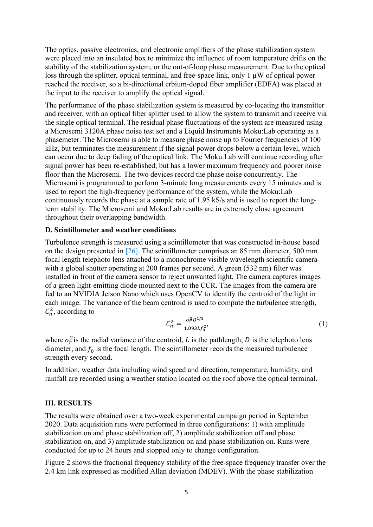The optics, passive electronics, and electronic amplifiers of the phase stabilization system were placed into an insulated box to minimize the influence of room temperature drifts on the stability of the stabilization system, or the out-of-loop phase measurement. Due to the optical loss through the splitter, optical terminal, and free-space link, only  $1 \mu W$  of optical power reached the receiver, so a bi-directional erbium-doped fiber amplifier (EDFA) was placed at the input to the receiver to amplify the optical signal.

The performance of the phase stabilization system is measured by co-locating the transmitter and receiver, with an optical fiber splitter used to allow the system to transmit and receive via the single optical terminal. The residual phase fluctuations of the system are measured using a Microsemi 3120A phase noise test set and a Liquid Instruments Moku:Lab operating as a phasemeter. The Microsemi is able to measure phase noise up to Fourier frequencies of 100 kHz, but terminates the measurement if the signal power drops below a certain level, which can occur due to deep fading of the optical link. The Moku:Lab will continue recording after signal power has been re-established, but has a lower maximum frequency and poorer noise floor than the Microsemi. The two devices record the phase noise concurrently. The Microsemi is programmed to perform 3-minute long measurements every 15 minutes and is used to report the high-frequency performance of the system, while the Moku:Lab continuously records the phase at a sample rate of 1.95 kS/s and is used to report the longterm stability. The Microsemi and Moku:Lab results are in extremely close agreement throughout their overlapping bandwidth.

#### **D. Scintillometer and weather conditions**

Turbulence strength is measured using a scintillometer that was constructed in-house based on the design presented in [26]. The scintillometer comprises an 85 mm diameter, 500 mm focal length telephoto lens attached to a monochrome visible wavelength scientific camera with a global shutter operating at 200 frames per second. A green (532 nm) filter was installed in front of the camera sensor to reject unwanted light. The camera captures images of a green light-emitting diode mounted next to the CCR. The images from the camera are fed to an NVIDIA Jetson Nano which uses OpenCV to identify the centroid of the light in each image. The variance of the beam centroid is used to compute the turbulence strength,  $C_n^2$ , according to

$$
\mathcal{C}_n^2 = \frac{\sigma_r^2 D^{1/3}}{1.093 L f_0^2},\tag{1}
$$

where  $\sigma_r^2$  is the radial variance of the centroid, L is the pathlength, D is the telephoto lens diameter, and  $f_0$  is the focal length. The scintillometer records the measured turbulence strength every second.

In addition, weather data including wind speed and direction, temperature, humidity, and rainfall are recorded using a weather station located on the roof above the optical terminal.

#### **III. RESULTS**

The results were obtained over a two-week experimental campaign period in September 2020. Data acquisition runs were performed in three configurations: 1) with amplitude stabilization on and phase stabilization off, 2) amplitude stabilization off and phase stabilization on, and 3) amplitude stabilization on and phase stabilization on. Runs were conducted for up to 24 hours and stopped only to change configuration.

Figure 2 shows the fractional frequency stability of the free-space frequency transfer over the 2.4 km link expressed as modified Allan deviation (MDEV). With the phase stabilization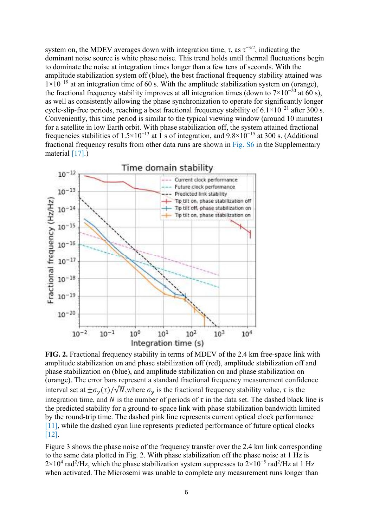system on, the MDEV averages down with integration time,  $\tau$ , as  $\tau^{-3/2}$ , indicating the dominant noise source is white phase noise. This trend holds until thermal fluctuations begin to dominate the noise at integration times longer than a few tens of seconds. With the amplitude stabilization system off (blue), the best fractional frequency stability attained was  $1\times10^{-19}$  at an integration time of 60 s. With the amplitude stabilization system on (orange), the fractional frequency stability improves at all integration times (down to  $7\times10^{-20}$  at 60 s), as well as consistently allowing the phase synchronization to operate for significantly longer cycle-slip-free periods, reaching a best fractional frequency stability of  $6.1 \times 10^{-21}$  after 300 s. Conveniently, this time period is similar to the typical viewing window (around 10 minutes) for a satellite in low Earth orbit. With phase stabilization off, the system attained fractional frequencies stabilities of  $1.5\times10^{-13}$  at 1 s of integration, and  $9.8\times10^{-15}$  at 300 s. (Additional fractional frequency results from other data runs are shown in Fig. S6 in the Supplementary material [17].)



**FIG. 2.** Fractional frequency stability in terms of MDEV of the 2.4 km free-space link with amplitude stabilization on and phase stabilization off (red), amplitude stabilization off and phase stabilization on (blue), and amplitude stabilization on and phase stabilization on (orange). The error bars represent a standard fractional frequency measurement confidence interval set at  $\pm \sigma_y(\tau)/\sqrt{N}$ , where  $\sigma_y$  is the fractional frequency stability value,  $\tau$  is the integration time, and N is the number of periods of  $\tau$  in the data set. The dashed black line is the predicted stability for a ground-to-space link with phase stabilization bandwidth limited by the round-trip time. The dashed pink line represents current optical clock performance [11], while the dashed cyan line represents predicted performance of future optical clocks [12].

Figure 3 shows the phase noise of the frequency transfer over the 2.4 km link corresponding to the same data plotted in Fig. 2. With phase stabilization off the phase noise at 1 Hz is  $2\times10^4$  rad<sup>2</sup>/Hz, which the phase stabilization system suppresses to  $2\times10^{-5}$  rad<sup>2</sup>/Hz at 1 Hz when activated. The Microsemi was unable to complete any measurement runs longer than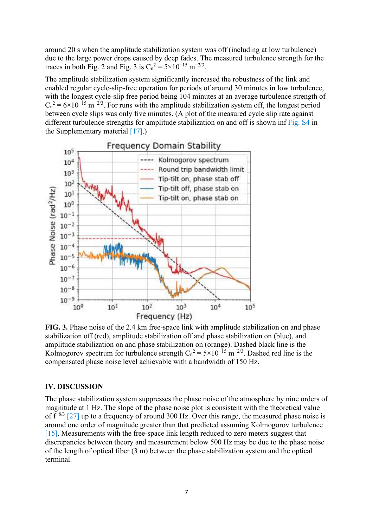around 20 s when the amplitude stabilization system was off (including at low turbulence) due to the large power drops caused by deep fades. The measured turbulence strength for the traces in both Fig. 2 and Fig. 3 is  $C_n^2 = 5 \times 10^{-15} \text{ m}^{-2/3}$ .

The amplitude stabilization system significantly increased the robustness of the link and enabled regular cycle-slip-free operation for periods of around 30 minutes in low turbulence, with the longest cycle-slip free period being 104 minutes at an average turbulence strength of  $C_n^2 = 6 \times 10^{-15}$  m<sup>-2/3</sup>. For runs with the amplitude stabilization system off, the longest period between cycle slips was only five minutes. (A plot of the measured cycle slip rate against different turbulence strengths for amplitude stabilization on and off is shown inf Fig. S4 in the Supplementary material [17].)



**FIG. 3.** Phase noise of the 2.4 km free-space link with amplitude stabilization on and phase stabilization off (red), amplitude stabilization off and phase stabilization on (blue), and amplitude stabilization on and phase stabilization on (orange). Dashed black line is the Kolmogorov spectrum for turbulence strength  $C_n^2 = 5 \times 10^{-15}$  m<sup>-2/3</sup>. Dashed red line is the compensated phase noise level achievable with a bandwidth of 150 Hz.

#### **IV. DISCUSSION**

The phase stabilization system suppresses the phase noise of the atmosphere by nine orders of magnitude at 1 Hz. The slope of the phase noise plot is consistent with the theoretical value of  $f^{-8/3}$  [27] up to a frequency of around 300 Hz. Over this range, the measured phase noise is around one order of magnitude greater than that predicted assuming Kolmogorov turbulence [15]. Measurements with the free-space link length reduced to zero meters suggest that discrepancies between theory and measurement below 500 Hz may be due to the phase noise of the length of optical fiber (3 m) between the phase stabilization system and the optical terminal.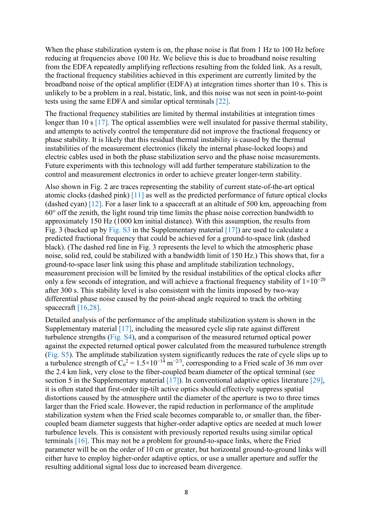When the phase stabilization system is on, the phase noise is flat from 1 Hz to 100 Hz before reducing at frequencies above 100 Hz. We believe this is due to broadband noise resulting from the EDFA repeatedly amplifying reflections resulting from the folded link. As a result, the fractional frequency stabilities achieved in this experiment are currently limited by the broadband noise of the optical amplifier (EDFA) at integration times shorter than 10 s. This is unlikely to be a problem in a real, bistatic, link, and this noise was not seen in point-to-point tests using the same EDFA and similar optical terminals [22].

The fractional frequency stabilities are limited by thermal instabilities at integration times longer than 10 s [17]. The optical assemblies were well insulated for passive thermal stability, and attempts to actively control the temperature did not improve the fractional frequency or phase stability. It is likely that this residual thermal instability is caused by the thermal instabilities of the measurement electronics (likely the internal phase-locked loops) and electric cables used in both the phase stabilization servo and the phase noise measurements. Future experiments with this technology will add further temperature stabilization to the control and measurement electronics in order to achieve greater longer-term stability.

Also shown in Fig. 2 are traces representing the stability of current state-of-the-art optical atomic clocks (dashed pink) [11] as well as the predicted performance of future optical clocks (dashed cyan) [12]. For a laser link to a spacecraft at an altitude of 500 km, approaching from 60° off the zenith, the light round trip time limits the phase noise correction bandwidth to approximately 150 Hz (1000 km initial distance). With this assumption, the results from Fig. 3 (backed up by Fig. S3 in the Supplementary material [17]) are used to calculate a predicted fractional frequency that could be achieved for a ground-to-space link (dashed black). (The dashed red line in Fig. 3 represents the level to which the atmospheric phase noise, solid red, could be stabilized with a bandwidth limit of 150 Hz.) This shows that, for a ground-to-space laser link using this phase and amplitude stabilization technology, measurement precision will be limited by the residual instabilities of the optical clocks after only a few seconds of integration, and will achieve a fractional frequency stability of  $1 \times 10^{-20}$ after 300 s. This stability level is also consistent with the limits imposed by two-way differential phase noise caused by the point-ahead angle required to track the orbiting spacecraft [16,28].

Detailed analysis of the performance of the amplitude stabilization system is shown in the Supplementary material [17], including the measured cycle slip rate against different turbulence strengths (Fig. S4), and a comparison of the measured returned optical power against the expected returned optical power calculated from the measured turbulence strength (Fig. S5). The amplitude stabilization system significantly reduces the rate of cycle slips up to a turbulence strength of  $C_n^2 = 1.5 \times 10^{-14} \text{ m}^{-2/3}$ , corresponding to a Fried scale of 36 mm over the 2.4 km link, very close to the fiber-coupled beam diameter of the optical terminal (see section 5 in the Supplementary material  $[17]$ ). In conventional adaptive optics literature  $[29]$ , it is often stated that first-order tip-tilt active optics should effectively suppress spatial distortions caused by the atmosphere until the diameter of the aperture is two to three times larger than the Fried scale. However, the rapid reduction in performance of the amplitude stabilization system when the Fried scale becomes comparable to, or smaller than, the fibercoupled beam diameter suggests that higher-order adaptive optics are needed at much lower turbulence levels. This is consistent with previously reported results using similar optical terminals [16]. This may not be a problem for ground-to-space links, where the Fried parameter will be on the order of 10 cm or greater, but horizontal ground-to-ground links will either have to employ higher-order adaptive optics, or use a smaller aperture and suffer the resulting additional signal loss due to increased beam divergence.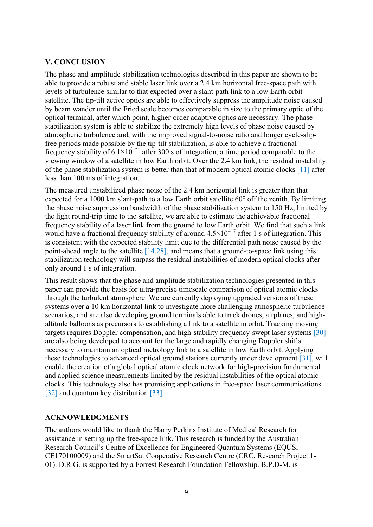### **V. CONCLUSION**

The phase and amplitude stabilization technologies described in this paper are shown to be able to provide a robust and stable laser link over a 2.4 km horizontal free-space path with levels of turbulence similar to that expected over a slant-path link to a low Earth orbit satellite. The tip-tilt active optics are able to effectively suppress the amplitude noise caused by beam wander until the Fried scale becomes comparable in size to the primary optic of the optical terminal, after which point, higher-order adaptive optics are necessary. The phase stabilization system is able to stabilize the extremely high levels of phase noise caused by atmospheric turbulence and, with the improved signal-to-noise ratio and longer cycle-slipfree periods made possible by the tip-tilt stabilization, is able to achieve a fractional frequency stability of  $6.1 \times 10^{-21}$  after 300 s of integration, a time period comparable to the viewing window of a satellite in low Earth orbit. Over the 2.4 km link, the residual instability of the phase stabilization system is better than that of modern optical atomic clocks [11] after less than 100 ms of integration.

The measured unstabilized phase noise of the 2.4 km horizontal link is greater than that expected for a 1000 km slant-path to a low Earth orbit satellite 60° off the zenith. By limiting the phase noise suppression bandwidth of the phase stabilization system to 150 Hz, limited by the light round-trip time to the satellite, we are able to estimate the achievable fractional frequency stability of a laser link from the ground to low Earth orbit. We find that such a link would have a fractional frequency stability of around  $4.5 \times 10^{-17}$  after 1 s of integration. This is consistent with the expected stability limit due to the differential path noise caused by the point-ahead angle to the satellite  $[14,28]$ , and means that a ground-to-space link using this stabilization technology will surpass the residual instabilities of modern optical clocks after only around 1 s of integration.

This result shows that the phase and amplitude stabilization technologies presented in this paper can provide the basis for ultra-precise timescale comparison of optical atomic clocks through the turbulent atmosphere. We are currently deploying upgraded versions of these systems over a 10 km horizontal link to investigate more challenging atmospheric turbulence scenarios, and are also developing ground terminals able to track drones, airplanes, and highaltitude balloons as precursors to establishing a link to a satellite in orbit. Tracking moving targets requires Doppler compensation, and high-stability frequency-swept laser systems [30] are also being developed to account for the large and rapidly changing Doppler shifts necessary to maintain an optical metrology link to a satellite in low Earth orbit. Applying these technologies to advanced optical ground stations currently under development [31], will enable the creation of a global optical atomic clock network for high-precision fundamental and applied science measurements limited by the residual instabilities of the optical atomic clocks. This technology also has promising applications in free-space laser communications [32] and quantum key distribution [33].

### **ACKNOWLEDGMENTS**

The authors would like to thank the Harry Perkins Institute of Medical Research for assistance in setting up the free-space link. This research is funded by the Australian Research Council's Centre of Excellence for Engineered Quantum Systems (EQUS, CE170100009) and the SmartSat Cooperative Research Centre (CRC. Research Project 1- 01). D.R.G. is supported by a Forrest Research Foundation Fellowship. B.P.D-M. is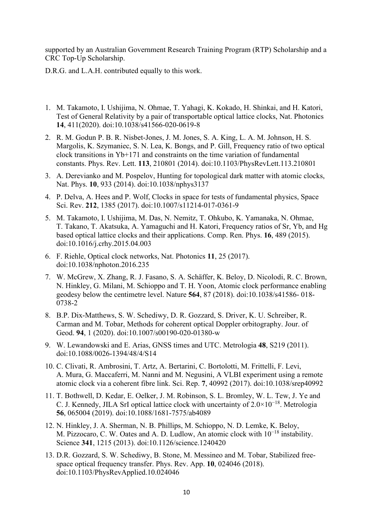supported by an Australian Government Research Training Program (RTP) Scholarship and a CRC Top-Up Scholarship.

D.R.G. and L.A.H. contributed equally to this work.

- 1. M. Takamoto, I. Ushijima, N. Ohmae, T. Yahagi, K. Kokado, H. Shinkai, and H. Katori, Test of General Relativity by a pair of transportable optical lattice clocks, Nat. Photonics **14**, 411(2020). doi:10.1038/s41566-020-0619-8
- 2. R. M. Godun P. B. R. Nisbet-Jones, J. M. Jones, S. A. King, L. A. M. Johnson, H. S. Margolis, K. Szymaniec, S. N. Lea, K. Bongs, and P. Gill, Frequency ratio of two optical clock transitions in Yb+171 and constraints on the time variation of fundamental constants. Phys. Rev. Lett. **113**, 210801 (2014). doi:10.1103/PhysRevLett.113.210801
- 3. A. Derevianko and M. Pospelov, Hunting for topological dark matter with atomic clocks, Nat. Phys. **10**, 933 (2014). doi:10.1038/nphys3137
- 4. P. Delva, A. Hees and P. Wolf, Clocks in space for tests of fundamental physics, Space Sci. Rev. **212**, 1385 (2017). doi:10.1007/s11214-017-0361-9
- 5. M. Takamoto, I. Ushijima, M. Das, N. Nemitz, T. Ohkubo, K. Yamanaka, N. Ohmae, T. Takano, T. Akatsuka, A. Yamaguchi and H. Katori, Frequency ratios of Sr, Yb, and Hg based optical lattice clocks and their applications. Comp. Ren. Phys. **16**, 489 (2015). doi:10.1016/j.crhy.2015.04.003
- 6. F. Riehle, Optical clock networks, Nat. Photonics **11**, 25 (2017). doi:10.1038/nphoton.2016.235
- 7. W. McGrew, X. Zhang, R. J. Fasano, S. A. Schäffer, K. Beloy, D. Nicolodi, R. C. Brown, N. Hinkley, G. Milani, M. Schioppo and T. H. Yoon, Atomic clock performance enabling geodesy below the centimetre level. Nature **564**, 87 (2018). doi:10.1038/s41586- 018- 0738-2
- 8. B.P. Dix-Matthews, S. W. Schediwy, D. R. Gozzard, S. Driver, K. U. Schreiber, R. Carman and M. Tobar, Methods for coherent optical Doppler orbitography. Jour. of Geod. **94**, 1 (2020). doi:10.1007/s00190-020-01380-w
- 9. W. Lewandowski and E. Arias, GNSS times and UTC. Metrologia **48**, S219 (2011). doi:10.1088/0026-1394/48/4/S14
- 10. C. Clivati, R. Ambrosini, T. Artz, A. Bertarini, C. Bortolotti, M. Frittelli, F. Levi, A. Mura, G. Maccaferri, M. Nanni and M. Negusini, A VLBI experiment using a remote atomic clock via a coherent fibre link. Sci. Rep. **7**, 40992 (2017). doi:10.1038/srep40992
- 11. T. Bothwell, D. Kedar, E. Oelker, J. M. Robinson, S. L. Bromley, W. L. Tew, J. Ye and C. J. Kennedy, JILA SrI optical lattice clock with uncertainty of 2.0×10−18. Metrologia **56**, 065004 (2019). doi:10.1088/1681-7575/ab4089
- 12. N. Hinkley, J. A. Sherman, N. B. Phillips, M. Schioppo, N. D. Lemke, K. Beloy, M. Pizzocaro, C. W. Oates and A. D. Ludlow, An atomic clock with 10<sup>-18</sup> instability. Science **341**, 1215 (2013). doi:10.1126/science.1240420
- 13. D.R. Gozzard, S. W. Schediwy, B. Stone, M. Messineo and M. Tobar, Stabilized freespace optical frequency transfer. Phys. Rev. App. **10**, 024046 (2018). doi:10.1103/PhysRevApplied.10.024046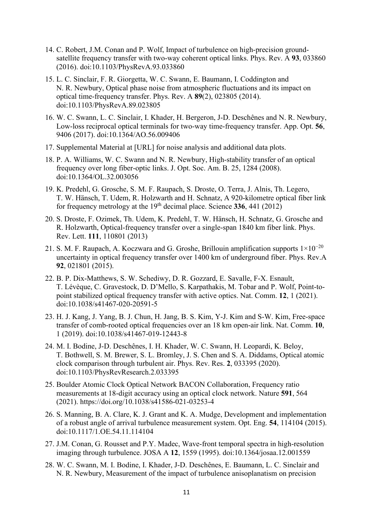- 14. C. Robert, J.M. Conan and P. Wolf, Impact of turbulence on high-precision groundsatellite frequency transfer with two-way coherent optical links. Phys. Rev. A **93**, 033860 (2016). doi:10.1103/PhysRevA.93.033860
- 15. L. C. Sinclair, F. R. Giorgetta, W. C. Swann, E. Baumann, I. Coddington and N. R. Newbury, Optical phase noise from atmospheric fluctuations and its impact on optical time-frequency transfer. Phys. Rev. A **89**(2), 023805 (2014). doi:10.1103/PhysRevA.89.023805
- 16. W. C. Swann, L. C. Sinclair, I. Khader, H. Bergeron, J-D. Deschênes and N. R. Newbury, Low-loss reciprocal optical terminals for two-way time-frequency transfer. App. Opt. **56**, 9406 (2017). doi:10.1364/AO.56.009406
- 17. Supplemental Material at [URL] for noise analysis and additional data plots.
- 18. P. A. Williams, W. C. Swann and N. R. Newbury, High-stability transfer of an optical frequency over long fiber-optic links. J. Opt. Soc. Am. B. 25, 1284 (2008). doi:10.1364/OL.32.003056
- 19. K. Predehl, G. Grosche, S. M. F. Raupach, S. Droste, O. Terra, J. Alnis, Th. Legero, T. W. Hänsch, T. Udem, R. Holzwarth and H. Schnatz, A 920-kilometre optical fiber link for frequency metrology at the  $19<sup>th</sup>$  decimal place. Science 336, 441 (2012)
- 20. S. Droste, F. Ozimek, Th. Udem, K. Predehl, T. W. Hänsch, H. Schnatz, G. Grosche and R. Holzwarth, Optical-frequency transfer over a single-span 1840 km fiber link. Phys. Rev. Lett. **111**, 110801 (2013)
- 21. S. M. F. Raupach, A. Koczwara and G. Groshe, Brillouin amplification supports  $1\times10^{-20}$ uncertainty in optical frequency transfer over 1400 km of underground fiber. Phys. Rev.A **92**, 021801 (2015).
- 22. B. P. Dix-Matthews, S. W. Schediwy, D. R. Gozzard, E. Savalle, F-X. Esnault, T. Lévèque, C. Gravestock, D. D'Mello, S. Karpathakis, M. Tobar and P. Wolf, Point-topoint stabilized optical frequency transfer with active optics. Nat. Comm. **12**, 1 (2021). doi:10.1038/s41467-020-20591-5
- 23. H. J. Kang, J. Yang, B. J. Chun, H. Jang, B. S. Kim, Y-J. Kim and S-W. Kim, Free-space transfer of comb-rooted optical frequencies over an 18 km open-air link. Nat. Comm. **10**, 1 (2019). doi:10.1038/s41467-019-12443-8
- 24. M. I. Bodine, J-D. Deschênes, I. H. Khader, W. C. Swann, H. Leopardi, K. Beloy, T. Bothwell, S. M. Brewer, S. L. Bromley, J. S. Chen and S. A. Diddams, Optical atomic clock comparison through turbulent air. Phys. Rev. Res. **2**, 033395 (2020). doi:10.1103/PhysRevResearch.2.033395
- 25. Boulder Atomic Clock Optical Network BACON Collaboration, Frequency ratio measurements at 18-digit accuracy using an optical clock network. Nature **591**, 564 (2021). https://doi.org/10.1038/s41586-021-03253-4
- 26. S. Manning, B. A. Clare, K. J. Grant and K. A. Mudge, Development and implementation of a robust angle of arrival turbulence measurement system. Opt. Eng. **54**, 114104 (2015). doi:10.1117/1.OE.54.11.114104
- 27. J.M. Conan, G. Rousset and P.Y. Madec, Wave-front temporal spectra in high-resolution imaging through turbulence. JOSA A **12**, 1559 (1995). doi:10.1364/josaa.12.001559
- 28. W. C. Swann, M. I. Bodine, I. Khader, J-D. Deschênes, E. Baumann, L. C. Sinclair and N. R. Newbury, Measurement of the impact of turbulence anisoplanatism on precision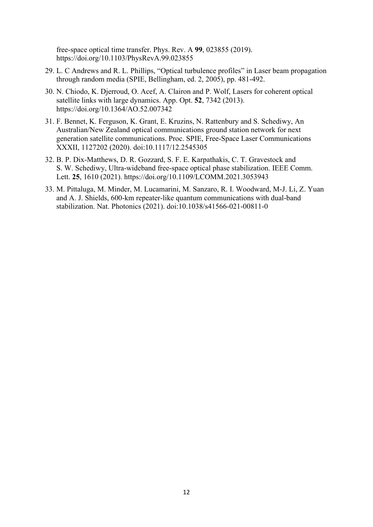free-space optical time transfer. Phys. Rev. A **99**, 023855 (2019). https://doi.org/10.1103/PhysRevA.99.023855

- 29. L. C Andrews and R. L. Phillips, "Optical turbulence profiles" in Laser beam propagation through random media (SPIE, Bellingham, ed. 2, 2005), pp. 481-492.
- 30. N. Chiodo, K. Djerroud, O. Acef, A. Clairon and P. Wolf, Lasers for coherent optical satellite links with large dynamics. App. Opt. **52**, 7342 (2013). https://doi.org/10.1364/AO.52.007342
- 31. F. Bennet, K. Ferguson, K. Grant, E. Kruzins, N. Rattenbury and S. Schediwy, An Australian/New Zealand optical communications ground station network for next generation satellite communications. Proc. SPIE, Free-Space Laser Communications XXXII, 1127202 (2020). doi:10.1117/12.2545305
- 32. B. P. Dix-Matthews, D. R. Gozzard, S. F. E. Karpathakis, C. T. Gravestock and S. W. Schediwy, Ultra-wideband free-space optical phase stabilization. IEEE Comm. Lett. **25**, 1610 (2021). https://doi.org/10.1109/LCOMM.2021.3053943
- 33. M. Pittaluga, M. Minder, M. Lucamarini, M. Sanzaro, R. I. Woodward, M-J. Li, Z. Yuan and A. J. Shields, 600-km repeater-like quantum communications with dual-band stabilization. Nat. Photonics (2021). doi:10.1038/s41566-021-00811-0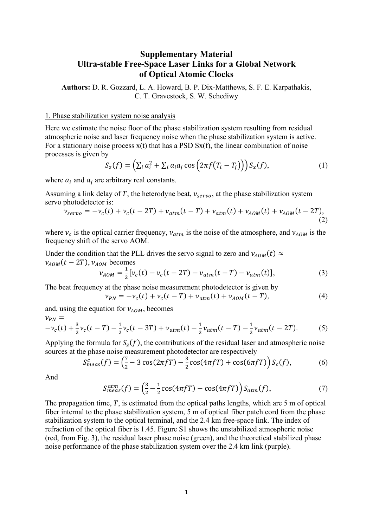## **Supplementary Material Ultra-stable Free-Space Laser Links for a Global Network of Optical Atomic Clocks**

**Authors:** D. R. Gozzard, L. A. Howard, B. P. Dix-Matthews, S. F. E. Karpathakis, C. T. Gravestock, S. W. Schediwy

#### 1. Phase stabilization system noise analysis

Here we estimate the noise floor of the phase stabilization system resulting from residual atmospheric noise and laser frequency noise when the phase stabilization system is active. For a stationary noise process  $x(t)$  that has a PSD  $Sx(f)$ , the linear combination of noise processes is given by

$$
S_z(f) = \left(\sum_i a_i^2 + \sum_i a_i a_j \cos\left(2\pi f(T_i - T_j)\right)\right) S_x(f),\tag{1}
$$

where  $a_i$  and  $a_j$  are arbitrary real constants.

Assuming a link delay of T, the heterodyne beat,  $v_{servo}$ , at the phase stabilization system servo photodetector is:

$$
v_{servo} = -v_c(t) + v_c(t - 2T) + v_{atm}(t - T) + v_{atm}(t) + v_{AOM}(t) + v_{AOM}(t - 2T),
$$
\n(2)

where  $v_c$  is the optical carrier frequency,  $v_{atm}$  is the noise of the atmosphere, and  $v_{AOM}$  is the frequency shift of the servo AOM.

Under the condition that the PLL drives the servo signal to zero and  $v_{AOM}(t) \approx$  $v_{AOM}(t-2T), v_{AOM}$  becomes

$$
\nu_{AOM} = \frac{1}{2} [\nu_c(t) - \nu_c(t - 2T) - \nu_{atm}(t - T) - \nu_{atm}(t)],
$$
\n(3)

The beat frequency at the phase noise measurement photodetector is given by

$$
\nu_{PN} = -\nu_c(t) + \nu_c(t - T) + \nu_{atm}(t) + \nu_{AOM}(t - T), \tag{4}
$$

and, using the equation for  $v_{AOM}$ , becomes  $\sim$ 

$$
v_{PN} = -v_c(t) + \frac{3}{2}v_c(t - T) - \frac{1}{2}v_c(t - 3T) + v_{atm}(t) - \frac{1}{2}v_{atm}(t - T) - \frac{1}{2}v_{atm}(t - 2T).
$$
 (5)

Applying the formula for  $S_z(f)$ , the contributions of the residual laser and atmospheric noise sources at the phase noise measurement photodetector are respectively

$$
S_{meas}^c(f) = \left(\frac{7}{2} - 3\cos(2\pi f T) - \frac{3}{2}\cos(4\pi f T) + \cos(6\pi f T)\right)S_c(f),\tag{6}
$$

And

$$
S_{meas}^{atm}(f) = \left(\frac{3}{2} - \frac{1}{2}\cos(4\pi fT) - \cos(4\pi fT)\right)S_{atm}(f),\tag{7}
$$

The propagation time,  $T$ , is estimated from the optical paths lengths, which are 5 m of optical fiber internal to the phase stabilization system, 5 m of optical fiber patch cord from the phase stabilization system to the optical terminal, and the 2.4 km free-space link. The index of refraction of the optical fiber is 1.45. Figure S1 shows the unstabilized atmospheric noise (red, from Fig. 3), the residual laser phase noise (green), and the theoretical stabilized phase noise performance of the phase stabilization system over the 2.4 km link (purple).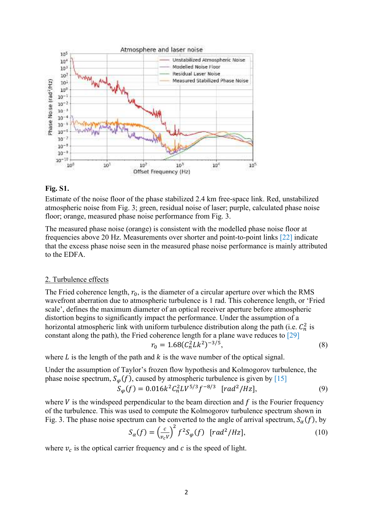

### **Fig. S1.**

Estimate of the noise floor of the phase stabilized 2.4 km free-space link. Red, unstabilized atmospheric noise from Fig. 3; green, residual noise of laser; purple, calculated phase noise floor; orange, measured phase noise performance from Fig. 3.

The measured phase noise (orange) is consistent with the modelled phase noise floor at frequencies above 20 Hz. Measurements over shorter and point-to-point links [22] indicate that the excess phase noise seen in the measured phase noise performance is mainly attributed to the EDFA.

#### 2. Turbulence effects

The Fried coherence length,  $r_0$ , is the diameter of a circular aperture over which the RMS wavefront aberration due to atmospheric turbulence is 1 rad. This coherence length, or 'Fried scale', defines the maximum diameter of an optical receiver aperture before atmospheric distortion begins to significantly impact the performance. Under the assumption of a horizontal atmospheric link with uniform turbulence distribution along the path (i.e.  $C_n^2$  is constant along the path), the Fried coherence length for a plane wave reduces to [29]

$$
r_0 = 1.68(C_n^2 L k^2)^{-3/5},\tag{8}
$$

where L is the length of the path and  $k$  is the wave number of the optical signal.

Under the assumption of Taylor's frozen flow hypothesis and Kolmogorov turbulence, the phase noise spectrum,  $S_{\varphi}(f)$ , caused by atmospheric turbulence is given by [15]  $S_{\varphi}(f) = 0.016k^2 C_n^2 LV^{5/3} f^{-8/3}$  [rad<sup>2</sup>/Hz], (9)

where  $V$  is the windspeed perpendicular to the beam direction and  $f$  is the Fourier frequency of the turbulence. This was used to compute the Kolmogorov turbulence spectrum shown in Fig. 3. The phase noise spectrum can be converted to the angle of arrival spectrum,  $S_{\alpha}(f)$ , by

$$
S_{\alpha}(f) = \left(\frac{c}{v_c V}\right)^2 f^2 S_{\varphi}(f) \quad [rad^2 / Hz],\tag{10}
$$

where  $v_c$  is the optical carrier frequency and c is the speed of light.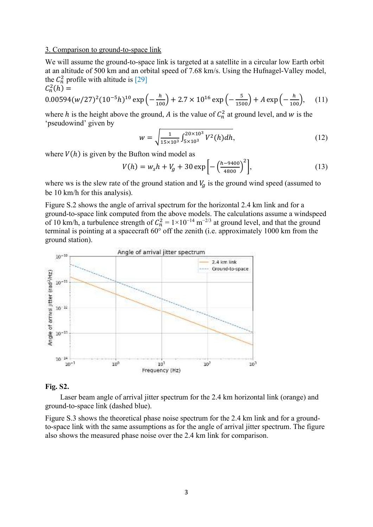#### 3. Comparison to ground-to-space link

We will assume the ground-to-space link is targeted at a satellite in a circular low Earth orbit at an altitude of 500 km and an orbital speed of 7.68 km/s. Using the Hufnagel-Valley model, the  $C_n^2$  profile with altitude is [29]

$$
C_n^2(h) =
$$
  
0.00594(w/27)<sup>2</sup>(10<sup>-5</sup>h)<sup>10</sup> exp $\left(-\frac{h}{100}\right)$  + 2.7 × 10<sup>16</sup> exp $\left(-\frac{5}{1500}\right)$  + A exp $\left(-\frac{h}{100}\right)$ , (11)

where h is the height above the ground, A is the value of  $C_n^2$  at ground level, and w is the 'pseudowind' given by

$$
w = \sqrt{\frac{1}{15 \times 10^3} \int_{5 \times 10^3}^{20 \times 10^3} V^2(h) dh},
$$
\n(12)

where  $V(h)$  is given by the Bufton wind model as

$$
V(h) = w_s h + V_g + 30 \exp\left[-\left(\frac{h - 9400}{4800}\right)^2\right],\tag{13}
$$

where ws is the slew rate of the ground station and  $V<sub>a</sub>$  is the ground wind speed (assumed to be 10 km/h for this analysis).

Figure S.2 shows the angle of arrival spectrum for the horizontal 2.4 km link and for a ground-to-space link computed from the above models. The calculations assume a windspeed of 10 km/h, a turbulence strength of  $C_n^2 = 1 \times 10^{-14}$  m<sup>-2/3</sup> at ground level, and that the ground terminal is pointing at a spacecraft 60° off the zenith (i.e. approximately 1000 km from the ground station).



### **Fig. S2.**

Laser beam angle of arrival jitter spectrum for the 2.4 km horizontal link (orange) and ground-to-space link (dashed blue).

Figure S.3 shows the theoretical phase noise spectrum for the 2.4 km link and for a groundto-space link with the same assumptions as for the angle of arrival jitter spectrum. The figure also shows the measured phase noise over the 2.4 km link for comparison.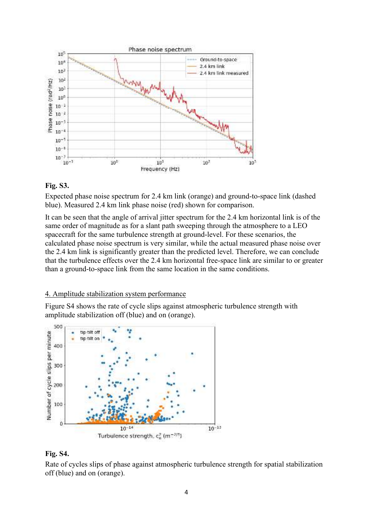

### **Fig. S3.**

Expected phase noise spectrum for 2.4 km link (orange) and ground-to-space link (dashed blue). Measured 2.4 km link phase noise (red) shown for comparison.

It can be seen that the angle of arrival jitter spectrum for the 2.4 km horizontal link is of the same order of magnitude as for a slant path sweeping through the atmosphere to a LEO spacecraft for the same turbulence strength at ground-level. For these scenarios, the calculated phase noise spectrum is very similar, while the actual measured phase noise over the 2.4 km link is significantly greater than the predicted level. Therefore, we can conclude that the turbulence effects over the 2.4 km horizontal free-space link are similar to or greater than a ground-to-space link from the same location in the same conditions.

### 4. Amplitude stabilization system performance

Figure S4 shows the rate of cycle slips against atmospheric turbulence strength with amplitude stabilization off (blue) and on (orange).



## **Fig. S4.**

Rate of cycles slips of phase against atmospheric turbulence strength for spatial stabilization off (blue) and on (orange).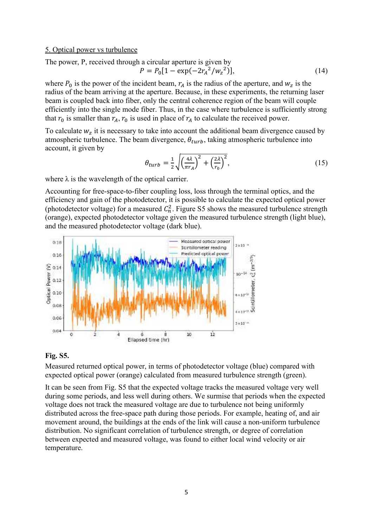#### 5. Optical power vs turbulence

#### The power, P, received through a circular aperture is given by  $P = P_0 \left[ 1 - \exp(-2r_A^2/w_z^2)\right]$  $(14)$

where  $P_0$  is the power of the incident beam,  $r_A$  is the radius of the aperture, and  $w_z$  is the radius of the beam arriving at the aperture. Because, in these experiments, the returning laser beam is coupled back into fiber, only the central coherence region of the beam will couple efficiently into the single mode fiber. Thus, in the case where turbulence is sufficiently strong that  $r_0$  is smaller than  $r_A$ ,  $r_0$  is used in place of  $r_A$  to calculate the received power.

To calculate  $w_z$  it is necessary to take into account the additional beam divergence caused by atmospheric turbulence. The beam divergence,  $\theta_{turb}$ , taking atmospheric turbulence into account, it given by

$$
\theta_{turb} = \frac{1}{2} \sqrt{\left(\frac{4\lambda}{\pi r_A}\right)^2 + \left(\frac{2\lambda}{r_0}\right)^2},\tag{15}
$$

where  $\lambda$  is the wavelength of the optical carrier.

Accounting for free-space-to-fiber coupling loss, loss through the terminal optics, and the efficiency and gain of the photodetector, it is possible to calculate the expected optical power (photodetector voltage) for a measured  $C_n^2$ . Figure S5 shows the measured turbulence strength (orange), expected photodetector voltage given the measured turbulence strength (light blue), and the measured photodetector voltage (dark blue).



#### **Fig. S5.**

Measured returned optical power, in terms of photodetector voltage (blue) compared with expected optical power (orange) calculated from measured turbulence strength (green).

It can be seen from Fig. S5 that the expected voltage tracks the measured voltage very well during some periods, and less well during others. We surmise that periods when the expected voltage does not track the measured voltage are due to turbulence not being uniformly distributed across the free-space path during those periods. For example, heating of, and air movement around, the buildings at the ends of the link will cause a non-uniform turbulence distribution. No significant correlation of turbulence strength, or degree of correlation between expected and measured voltage, was found to either local wind velocity or air temperature.